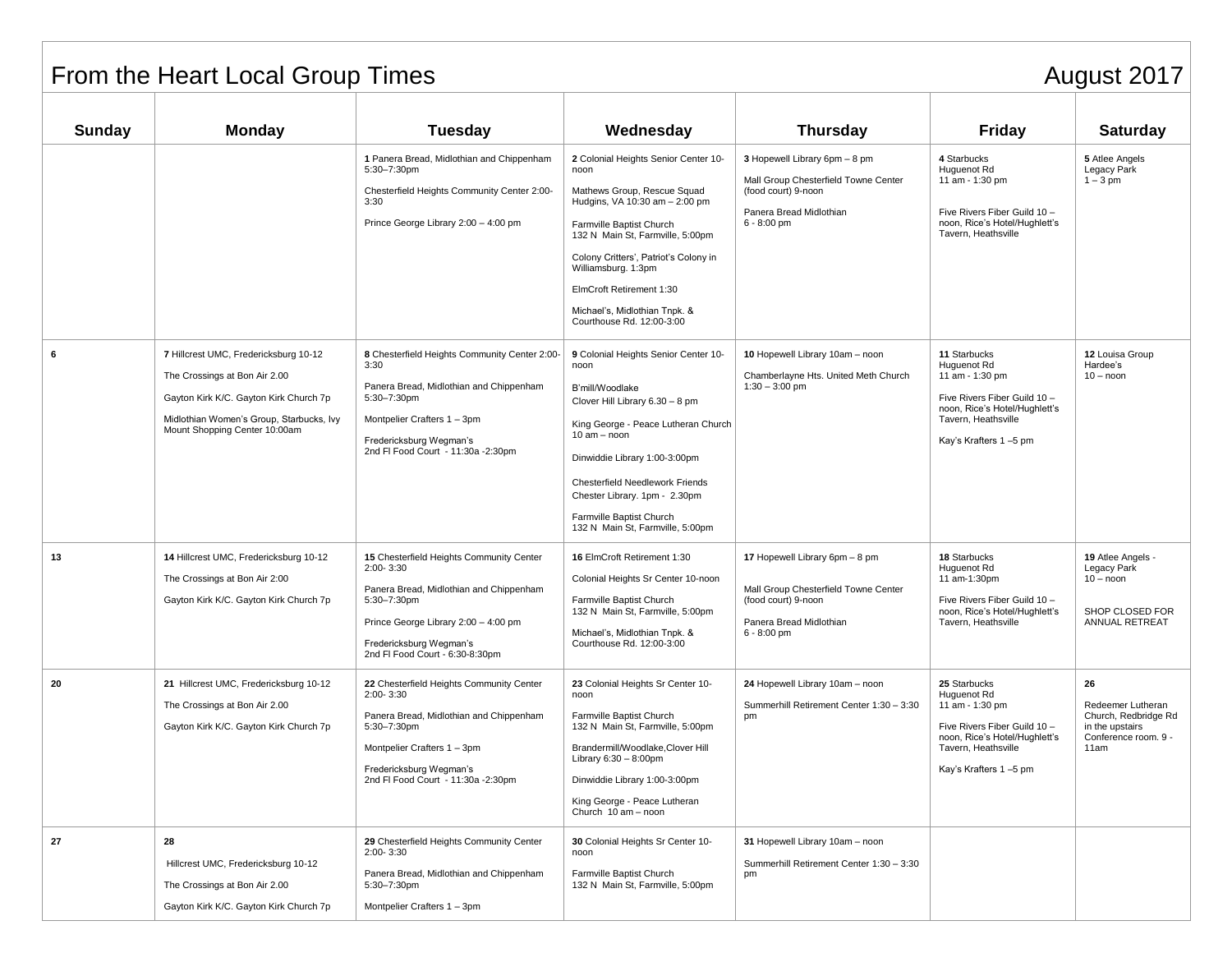## From the Heart Local Group Times August 2017

| Sunday | <b>Monday</b>                                                                                                                                                                                 | <b>Tuesday</b>                                                                                                                                                                                                            | Wednesday                                                                                                                                                                                                                                                                                                                               | <b>Thursday</b>                                                                                                                           | <b>Friday</b>                                                                                                                                                   | <b>Saturday</b>                                                                                    |
|--------|-----------------------------------------------------------------------------------------------------------------------------------------------------------------------------------------------|---------------------------------------------------------------------------------------------------------------------------------------------------------------------------------------------------------------------------|-----------------------------------------------------------------------------------------------------------------------------------------------------------------------------------------------------------------------------------------------------------------------------------------------------------------------------------------|-------------------------------------------------------------------------------------------------------------------------------------------|-----------------------------------------------------------------------------------------------------------------------------------------------------------------|----------------------------------------------------------------------------------------------------|
|        |                                                                                                                                                                                               | 1 Panera Bread, Midlothian and Chippenham<br>5:30-7:30pm<br>Chesterfield Heights Community Center 2:00-<br>3:30<br>Prince George Library 2:00 - 4:00 pm                                                                   | 2 Colonial Heights Senior Center 10-<br>noon<br>Mathews Group, Rescue Squad<br>Hudgins, VA 10:30 am - 2:00 pm<br>Farmville Baptist Church<br>132 N Main St, Farmville, 5:00pm<br>Colony Critters', Patriot's Colony in<br>Williamsburg. 1:3pm<br>ElmCroft Retirement 1:30<br>Michael's, Midlothian Tnpk. &<br>Courthouse Rd. 12:00-3:00 | 3 Hopewell Library 6pm - 8 pm<br>Mall Group Chesterfield Towne Center<br>(food court) 9-noon<br>Panera Bread Midlothian<br>$6 - 8:00$ pm  | 4 Starbucks<br>Huguenot Rd<br>11 am - 1:30 pm<br>Five Rivers Fiber Guild 10 -<br>noon, Rice's Hotel/Hughlett's<br>Tavern, Heathsville                           | 5 Atlee Angels<br>Legacy Park<br>$1 - 3$ pm                                                        |
| 6      | 7 Hillcrest UMC, Fredericksburg 10-12<br>The Crossings at Bon Air 2.00<br>Gayton Kirk K/C. Gayton Kirk Church 7p<br>Midlothian Women's Group, Starbucks, Ivy<br>Mount Shopping Center 10:00am | 8 Chesterfield Heights Community Center 2:00-<br>3:30<br>Panera Bread, Midlothian and Chippenham<br>5:30-7:30pm<br>Montpelier Crafters 1 - 3pm<br>Fredericksburg Wegman's<br>2nd FI Food Court - 11:30a -2:30pm           | 9 Colonial Heights Senior Center 10-<br>noon<br>B'mill/Woodlake<br>Clover Hill Library 6.30 - 8 pm<br>King George - Peace Lutheran Church<br>$10 am - noon$<br>Dinwiddie Library 1:00-3:00pm<br><b>Chesterfield Needlework Friends</b><br>Chester Library. 1pm - 2.30pm<br>Farmville Baptist Church<br>132 N Main St, Farmville, 5:00pm | 10 Hopewell Library 10am - noon<br>Chamberlayne Hts. United Meth Church<br>$1:30 - 3:00$ pm                                               | 11 Starbucks<br>Huguenot Rd<br>11 am - 1:30 pm<br>Five Rivers Fiber Guild 10 -<br>noon, Rice's Hotel/Hughlett's<br>Tavern, Heathsville<br>Kay's Krafters 1-5 pm | 12 Louisa Group<br>Hardee's<br>$10 -$ noon                                                         |
| 13     | 14 Hillcrest UMC, Fredericksburg 10-12<br>The Crossings at Bon Air 2:00<br>Gayton Kirk K/C. Gayton Kirk Church 7p                                                                             | 15 Chesterfield Heights Community Center<br>$2:00 - 3:30$<br>Panera Bread, Midlothian and Chippenham<br>5:30-7:30pm<br>Prince George Library 2:00 - 4:00 pm<br>Fredericksburg Wegman's<br>2nd FI Food Court - 6:30-8:30pm | 16 ElmCroft Retirement 1:30<br>Colonial Heights Sr Center 10-noon<br>Farmville Baptist Church<br>132 N Main St, Farmville, 5:00pm<br>Michael's, Midlothian Tnpk. &<br>Courthouse Rd. 12:00-3:00                                                                                                                                         | 17 Hopewell Library 6pm - 8 pm<br>Mall Group Chesterfield Towne Center<br>(food court) 9-noon<br>Panera Bread Midlothian<br>$6 - 8:00$ pm | 18 Starbucks<br>Huguenot Rd<br>11 am-1:30pm<br>Five Rivers Fiber Guild 10 -<br>noon, Rice's Hotel/Hughlett's<br>Tavern, Heathsville                             | 19 Atlee Angels -<br>Legacy Park<br>$10 -$ noon<br>SHOP CLOSED FOR<br>ANNUAL RETREAT               |
| 20     | 21 Hillcrest UMC, Fredericksburg 10-12<br>The Crossings at Bon Air 2.00<br>Gayton Kirk K/C. Gayton Kirk Church 7p                                                                             | 22 Chesterfield Heights Community Center<br>$2:00 - 3:30$<br>Panera Bread, Midlothian and Chippenham<br>5:30-7:30pm<br>Montpelier Crafters 1 - 3pm<br>Fredericksburg Wegman's<br>2nd FI Food Court - 11:30a -2:30pm       | 23 Colonial Heights Sr Center 10-<br>noon<br>Farmville Baptist Church<br>132 N Main St, Farmville, 5:00pm<br>Brandermill/Woodlake, Clover Hill<br>Library $6:30-8:00$ pm<br>Dinwiddie Library 1:00-3:00pm<br>King George - Peace Lutheran<br>Church 10 am - noon                                                                        | 24 Hopewell Library 10am - noon<br>Summerhill Retirement Center 1:30 - 3:30<br>pm                                                         | 25 Starbucks<br>Huguenot Rd<br>11 am - 1:30 pm<br>Five Rivers Fiber Guild 10 -<br>noon, Rice's Hotel/Hughlett's<br>Tavern, Heathsville<br>Kay's Krafters 1-5 pm | 26<br>Redeemer Lutheran<br>Church, Redbridge Rd<br>in the upstairs<br>Conference room. 9 -<br>11am |
| 27     | 28<br>Hillcrest UMC, Fredericksburg 10-12<br>The Crossings at Bon Air 2.00<br>Gayton Kirk K/C. Gayton Kirk Church 7p                                                                          | 29 Chesterfield Heights Community Center<br>2:00-3:30<br>Panera Bread, Midlothian and Chippenham<br>5:30-7:30pm<br>Montpelier Crafters 1 - 3pm                                                                            | 30 Colonial Heights Sr Center 10-<br>noon<br>Farmville Baptist Church<br>132 N Main St, Farmville, 5:00pm                                                                                                                                                                                                                               | 31 Hopewell Library 10am - noon<br>Summerhill Retirement Center 1:30 - 3:30<br>pm                                                         |                                                                                                                                                                 |                                                                                                    |